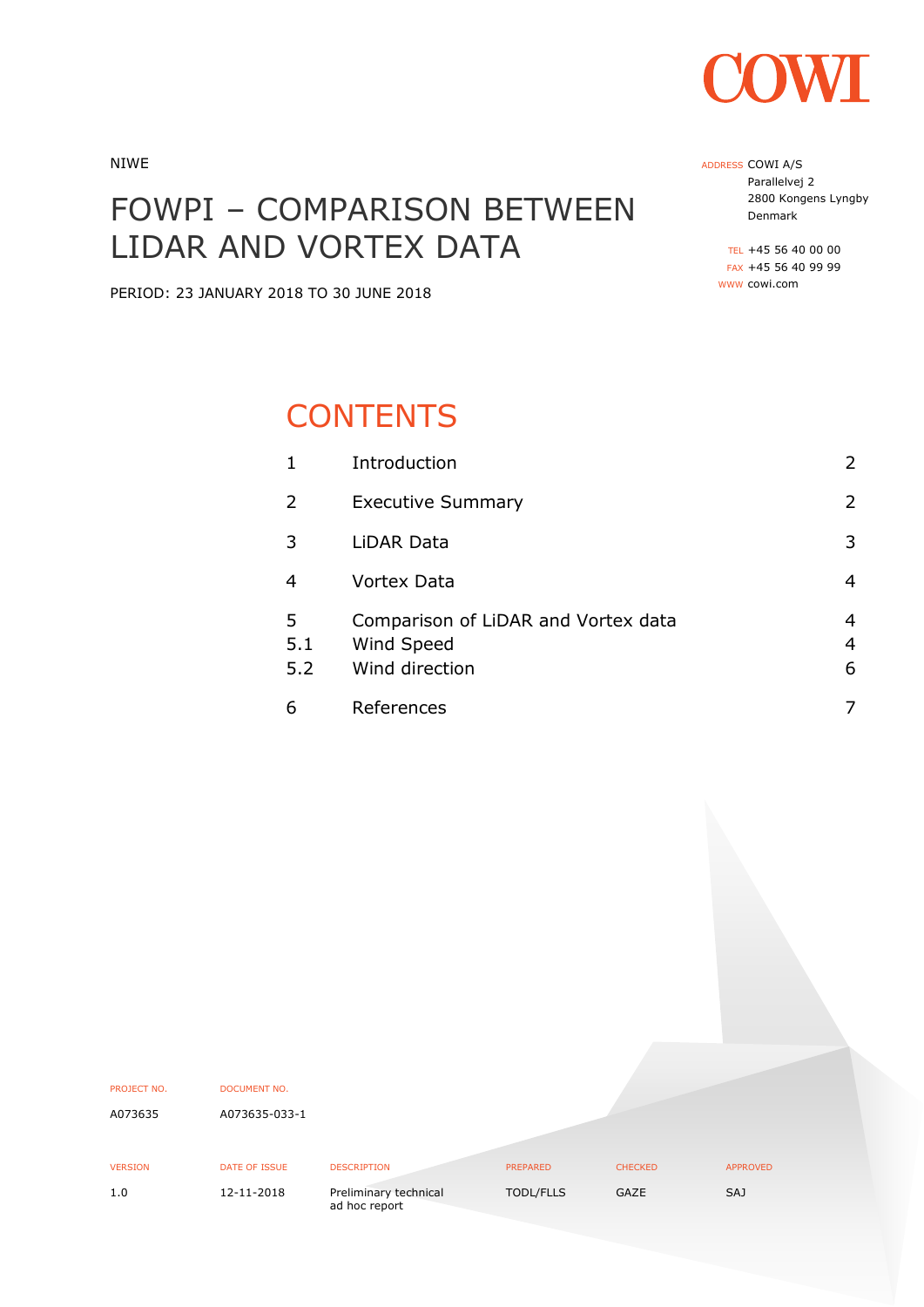

NIWE

# FOWPI – COMPARISON BETWEEN LIDAR AND VORTEX DATA

PERIOD: 23 JANUARY 2018 TO 30 JUNE 2018

# **CONTENTS**

| 1               | Introduction                                                        | $\overline{2}$ |
|-----------------|---------------------------------------------------------------------|----------------|
| $\overline{2}$  | <b>Executive Summary</b>                                            | $\overline{2}$ |
| 3               | LiDAR Data                                                          | 3              |
| 4               | <b>Vortex Data</b>                                                  | 4              |
| 5<br>5.1<br>5.2 | Comparison of LiDAR and Vortex data<br>Wind Speed<br>Wind direction | 4<br>4<br>6    |
| 6               | References                                                          | 7              |

| PROJECT NO.    | <b>DOCUMENT NO.</b> |                                        |                 |                |                 |
|----------------|---------------------|----------------------------------------|-----------------|----------------|-----------------|
| A073635        | A073635-033-1       |                                        |                 |                |                 |
|                |                     |                                        |                 |                |                 |
|                |                     |                                        |                 |                |                 |
| <b>VERSION</b> | DATE OF ISSUE       | <b>DESCRIPTION</b>                     | <b>PREPARED</b> | <b>CHECKED</b> | <b>APPROVED</b> |
| 1.0            | 12-11-2018          | Preliminary technical<br>ad hoc report | TODL/FLLS       | GAZE           | SAJ             |

ADDRESS COWI A/S Parallelvej 2 2800 Kongens Lyngby Denmark

TEL +45 56 40 00 00 FAX +45 56 40 99 99 WWW cowi.com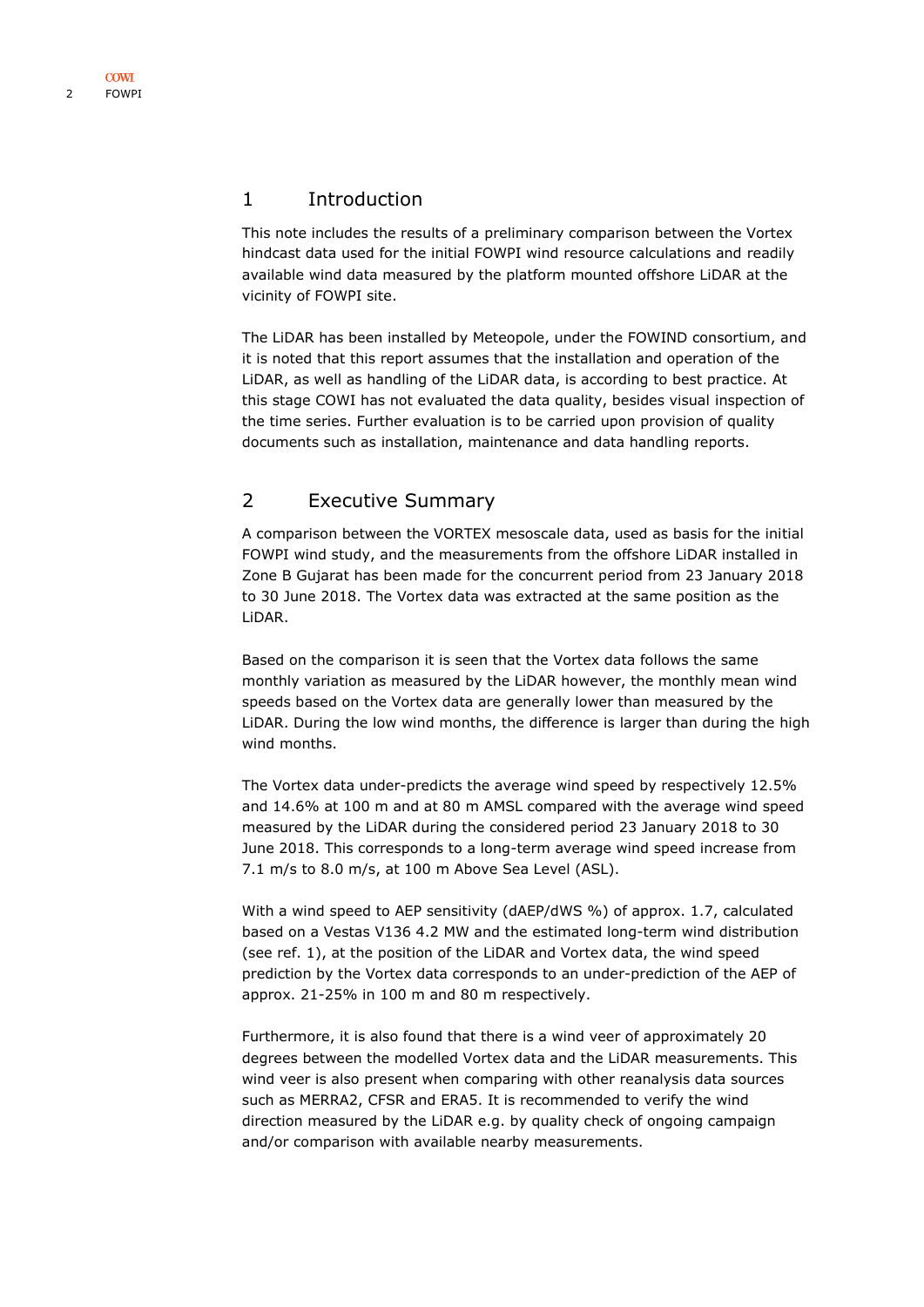#### <span id="page-1-0"></span>1 Introduction

This note includes the results of a preliminary comparison between the Vortex hindcast data used for the initial FOWPI wind resource calculations and readily available wind data measured by the platform mounted offshore LiDAR at the vicinity of FOWPI site.

The LiDAR has been installed by Meteopole, under the FOWIND consortium, and it is noted that this report assumes that the installation and operation of the LiDAR, as well as handling of the LiDAR data, is according to best practice. At this stage COWI has not evaluated the data quality, besides visual inspection of the time series. Further evaluation is to be carried upon provision of quality documents such as installation, maintenance and data handling reports.

### <span id="page-1-1"></span>2 Executive Summary

A comparison between the VORTEX mesoscale data, used as basis for the initial FOWPI wind study, and the measurements from the offshore LiDAR installed in Zone B Gujarat has been made for the concurrent period from 23 January 2018 to 30 June 2018. The Vortex data was extracted at the same position as the LiDAR.

Based on the comparison it is seen that the Vortex data follows the same monthly variation as measured by the LiDAR however, the monthly mean wind speeds based on the Vortex data are generally lower than measured by the LiDAR. During the low wind months, the difference is larger than during the high wind months.

The Vortex data under-predicts the average wind speed by respectively 12.5% and 14.6% at 100 m and at 80 m AMSL compared with the average wind speed measured by the LiDAR during the considered period 23 January 2018 to 30 June 2018. This corresponds to a long-term average wind speed increase from 7.1 m/s to 8.0 m/s, at 100 m Above Sea Level (ASL).

With a wind speed to AEP sensitivity (dAEP/dWS %) of approx. 1.7, calculated based on a Vestas V136 4.2 MW and the estimated long-term wind distribution (see ref. [1\)](#page-6-1), at the position of the LiDAR and Vortex data, the wind speed prediction by the Vortex data corresponds to an under-prediction of the AEP of approx. 21-25% in 100 m and 80 m respectively.

Furthermore, it is also found that there is a wind veer of approximately 20 degrees between the modelled Vortex data and the LiDAR measurements. This wind veer is also present when comparing with other reanalysis data sources such as MERRA2, CFSR and ERA5. It is recommended to verify the wind direction measured by the LiDAR e.g. by quality check of ongoing campaign and/or comparison with available nearby measurements.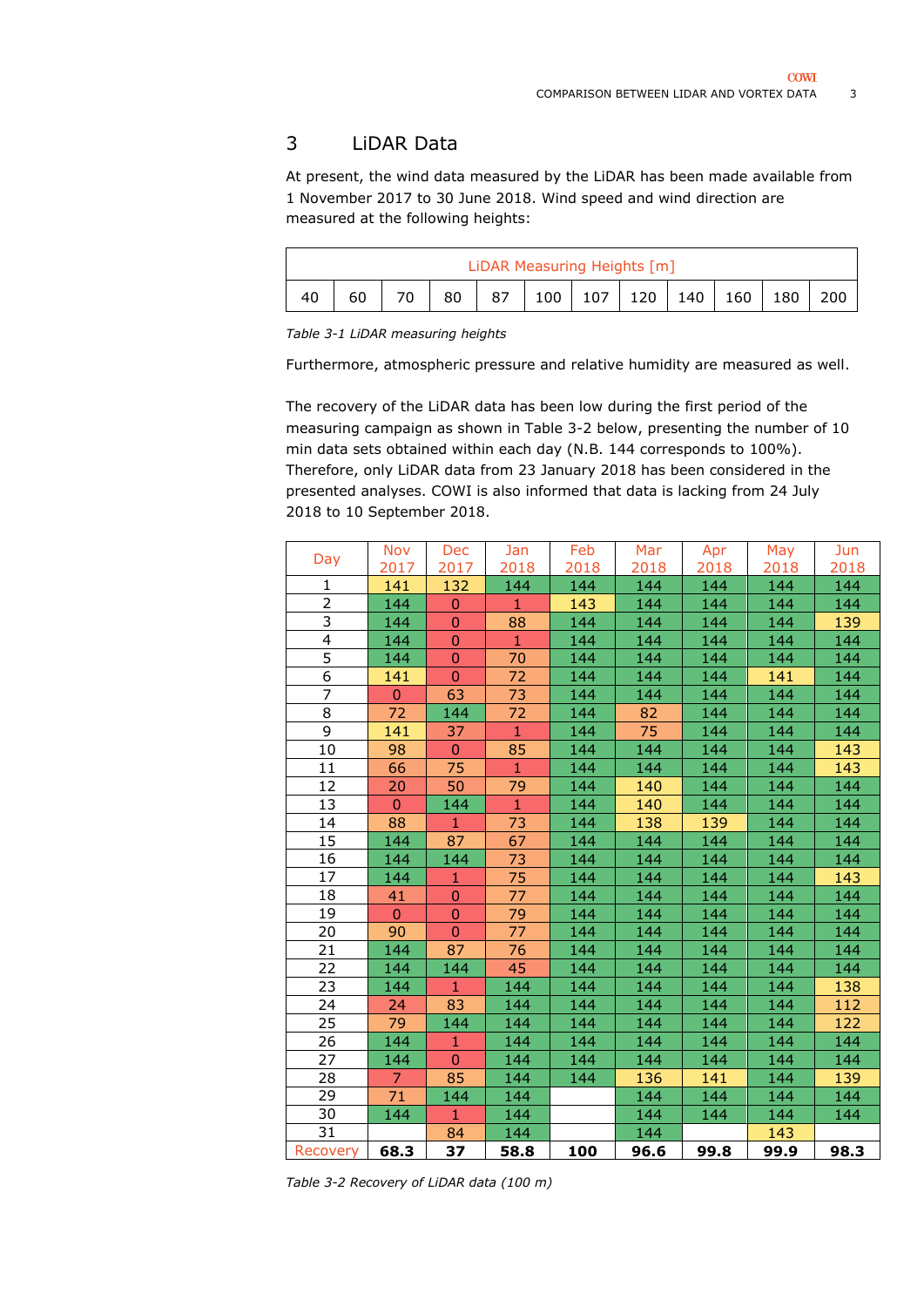### <span id="page-2-0"></span>LiDAR Data

At present, the wind data measured by the LiDAR has been made available from 1 November 2017 to 30 June 2018. Wind speed and wind direction are measured at the following heights:

| LiDAR Measuring Heights [m] |    |    |                 |    |  |  |  |                         |     |       |     |
|-----------------------------|----|----|-----------------|----|--|--|--|-------------------------|-----|-------|-----|
|                             | 60 | 70 | 80 <sub>1</sub> | 87 |  |  |  | $100$   107   120   140 | 160 | 180 l | 200 |

*Table 3-1 LiDAR measuring heights*

Furthermore, atmospheric pressure and relative humidity are measured as well.

The recovery of the LiDAR data has been low during the first period of the measuring campaign as shown in [Table 3-2](#page-2-1) below, presenting the number of 10 min data sets obtained within each day (N.B. 144 corresponds to 100%). Therefore, only LiDAR data from 23 January 2018 has been considered in the presented analyses. COWI is also informed that data is lacking from 24 July 2018 to 10 September 2018.

| Day            | <b>Nov</b>   | Dec            | Jan          | Feb  | Mar  | Apr  | May  | Jun  |
|----------------|--------------|----------------|--------------|------|------|------|------|------|
|                | 2017         | 2017           | 2018         | 2018 | 2018 | 2018 | 2018 | 2018 |
| 1              | 141          | 132            | 144          | 144  | 144  | 144  | 144  | 144  |
| $\overline{2}$ | 144          | $\mathbf 0$    | $\mathbf{1}$ | 143  | 144  | 144  | 144  | 144  |
| 3              | 144          | $\mathbf 0$    | 88           | 144  | 144  | 144  | 144  | 139  |
| $\overline{4}$ | 144          | $\mathbf 0$    | $\mathbf{1}$ | 144  | 144  | 144  | 144  | 144  |
| $\overline{5}$ | 144          | $\mathbf 0$    | 70           | 144  | 144  | 144  | 144  | 144  |
| 6              | 141          | $\mathbf 0$    | 72           | 144  | 144  | 144  | 141  | 144  |
| $\overline{7}$ | $\mathbf{0}$ | 63             | 73           | 144  | 144  | 144  | 144  | 144  |
| 8              | 72           | 144            | 72           | 144  | 82   | 144  | 144  | 144  |
| $\overline{9}$ | 141          | 37             | 1            | 144  | 75   | 144  | 144  | 144  |
| 10             | 98           | $\overline{0}$ | 85           | 144  | 144  | 144  | 144  | 143  |
| 11             | 66           | 75             | $\mathbf{1}$ | 144  | 144  | 144  | 144  | 143  |
| 12             | 20           | 50             | 79           | 144  | 140  | 144  | 144  | 144  |
| 13             | $\mathbf{0}$ | 144            | $\mathbf{1}$ | 144  | 140  | 144  | 144  | 144  |
| 14             | 88           | $\mathbf{1}$   | 73           | 144  | 138  | 139  | 144  | 144  |
| 15             | 144          | 87             | 67           | 144  | 144  | 144  | 144  | 144  |
| 16             | 144          | 144            | 73           | 144  | 144  | 144  | 144  | 144  |
| 17             | 144          | $\mathbf{1}$   | 75           | 144  | 144  | 144  | 144  | 143  |
| 18             | 41           | $\mathbf 0$    | 77           | 144  | 144  | 144  | 144  | 144  |
| 19             | $\mathbf{0}$ | $\overline{0}$ | 79           | 144  | 144  | 144  | 144  | 144  |
| 20             | 90           | $\overline{0}$ | 77           | 144  | 144  | 144  | 144  | 144  |
| 21             | 144          | 87             | 76           | 144  | 144  | 144  | 144  | 144  |
| 22             | 144          | 144            | 45           | 144  | 144  | 144  | 144  | 144  |
| 23             | 144          | $\mathbf{1}$   | 144          | 144  | 144  | 144  | 144  | 138  |
| 24             | 24           | 83             | 144          | 144  | 144  | 144  | 144  | 112  |
| 25             | 79           | 144            | 144          | 144  | 144  | 144  | 144  | 122  |
| 26             | 144          | $\mathbf{1}$   | 144          | 144  | 144  | 144  | 144  | 144  |
| 27             | 144          | $\overline{0}$ | 144          | 144  | 144  | 144  | 144  | 144  |
| 28             | 7            | 85             | 144          | 144  | 136  | 141  | 144  | 139  |
| 29             | 71           | 144            | 144          |      | 144  | 144  | 144  | 144  |
| 30             | 144          | 1              | 144          |      | 144  | 144  | 144  | 144  |
| 31             |              | 84             | 144          |      | 144  |      | 143  |      |
| Recovery       | 68.3         | 37             | 58.8         | 100  | 96.6 | 99.8 | 99.9 | 98.3 |

<span id="page-2-1"></span>*Table 3-2 Recovery of LiDAR data (100 m)*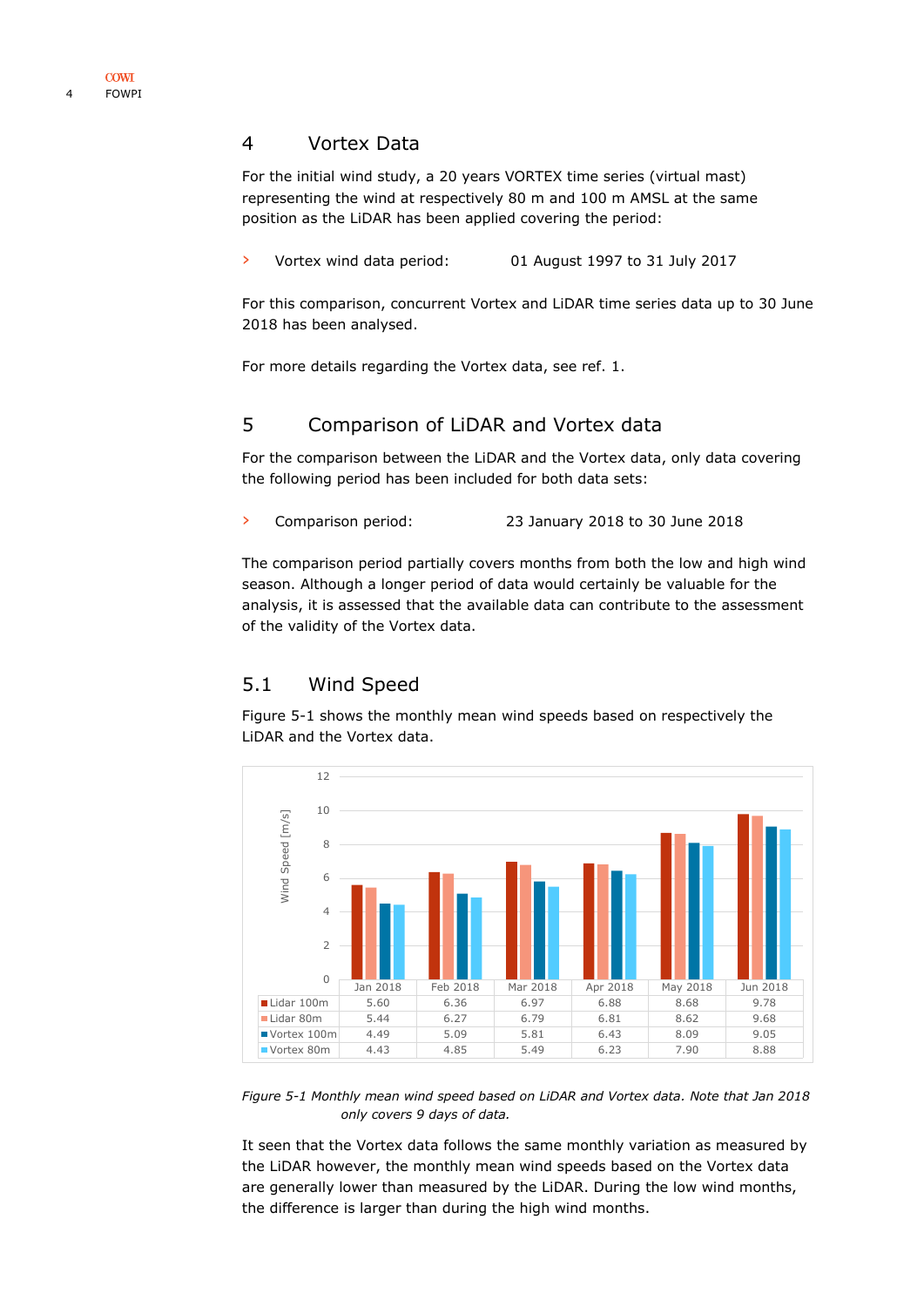#### <span id="page-3-0"></span>4 Vortex Data

For the initial wind study, a 20 years VORTEX time series (virtual mast) representing the wind at respectively 80 m and 100 m AMSL at the same position as the LiDAR has been applied covering the period:

› Vortex wind data period: 01 August 1997 to 31 July 2017

For this comparison, concurrent Vortex and LiDAR time series data up to 30 June 2018 has been analysed.

For more details regarding the Vortex data, see ref. [1.](#page-6-1)

### <span id="page-3-1"></span>5 Comparison of LiDAR and Vortex data

For the comparison between the LiDAR and the Vortex data, only data covering the following period has been included for both data sets:

› Comparison period: 23 January 2018 to 30 June 2018

The comparison period partially covers months from both the low and high wind season. Although a longer period of data would certainly be valuable for the analysis, it is assessed that the available data can contribute to the assessment of the validity of the Vortex data.

## <span id="page-3-2"></span>5.1 Wind Speed

[Figure 5-1](#page-3-3) shows the monthly mean wind speeds based on respectively the LiDAR and the Vortex data.



<span id="page-3-3"></span>*Figure 5-1 Monthly mean wind speed based on LiDAR and Vortex data. Note that Jan 2018 only covers 9 days of data.*

It seen that the Vortex data follows the same monthly variation as measured by the LiDAR however, the monthly mean wind speeds based on the Vortex data are generally lower than measured by the LiDAR. During the low wind months, the difference is larger than during the high wind months.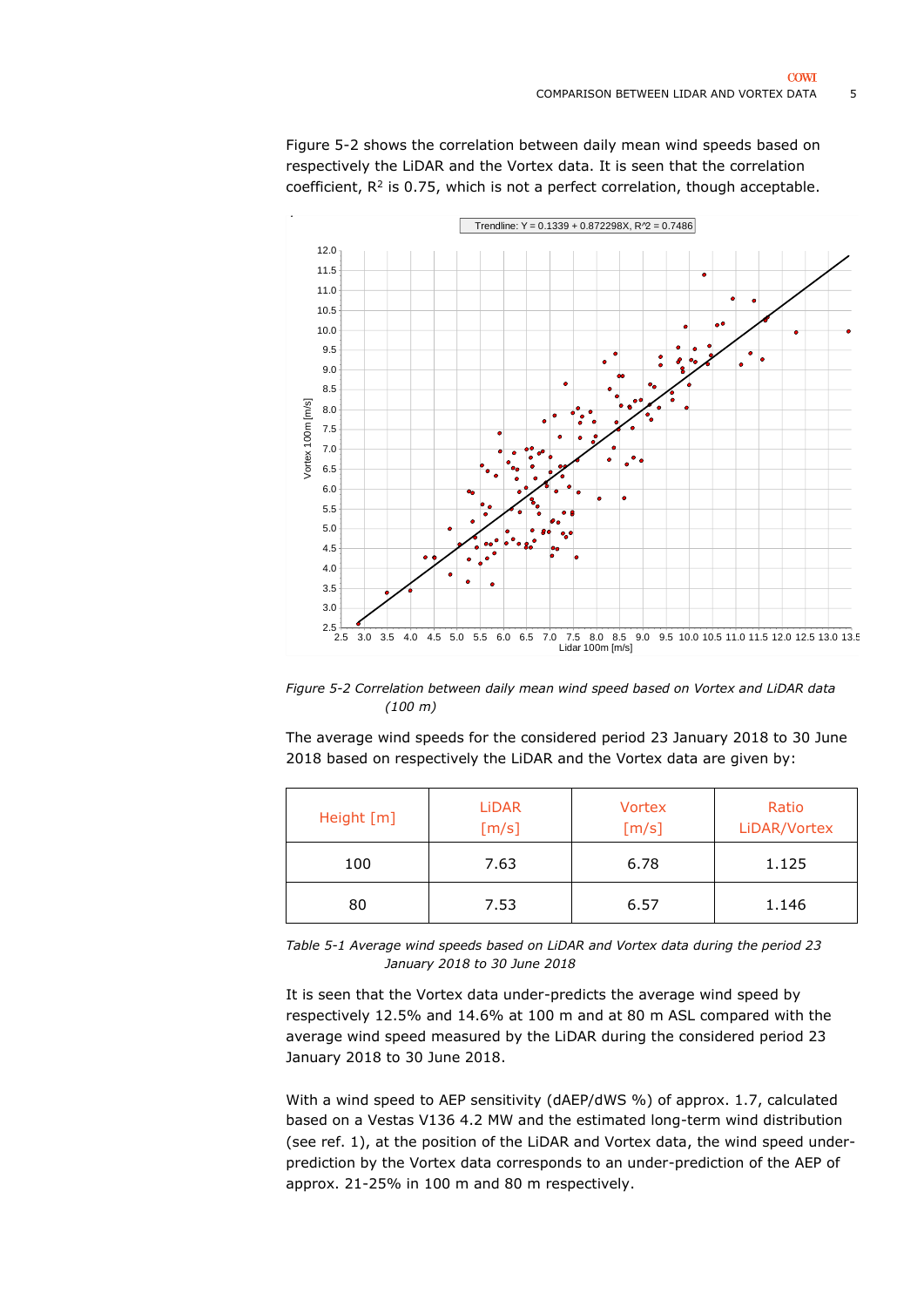

[Figure 5-2](#page-4-0) shows the correlation between daily mean wind speeds based on respectively the LiDAR and the Vortex data. It is seen that the correlation coefficient,  $R^2$  is 0.75, which is not a perfect correlation, though acceptable.

<span id="page-4-0"></span>*Figure 5-2 Correlation between daily mean wind speed based on Vortex and LiDAR data (100 m)*

The average wind speeds for the considered period 23 January 2018 to 30 June 2018 based on respectively the LiDAR and the Vortex data are given by:

| Height [m] | <b>LiDAR</b><br>[m/s] | <b>Vortex</b><br>[m/s] | Ratio<br>LiDAR/Vortex |
|------------|-----------------------|------------------------|-----------------------|
| 100        | 7.63                  | 6.78                   | 1.125                 |
| 80         | 7.53                  | 6.57                   | 1.146                 |

<span id="page-4-1"></span>*Table 5-1 Average wind speeds based on LiDAR and Vortex data during the period 23 January 2018 to 30 June 2018*

It is seen that the Vortex data under-predicts the average wind speed by respectively 12.5% and 14.6% at 100 m and at 80 m ASL compared with the average wind speed measured by the LiDAR during the considered period 23 January 2018 to 30 June 2018.

With a wind speed to AEP sensitivity (dAEP/dWS %) of approx. 1.7, calculated based on a Vestas V136 4.2 MW and the estimated long-term wind distribution (see ref. [1\)](#page-6-1), at the position of the LiDAR and Vortex data, the wind speed underprediction by the Vortex data corresponds to an under-prediction of the AEP of approx. 21-25% in 100 m and 80 m respectively.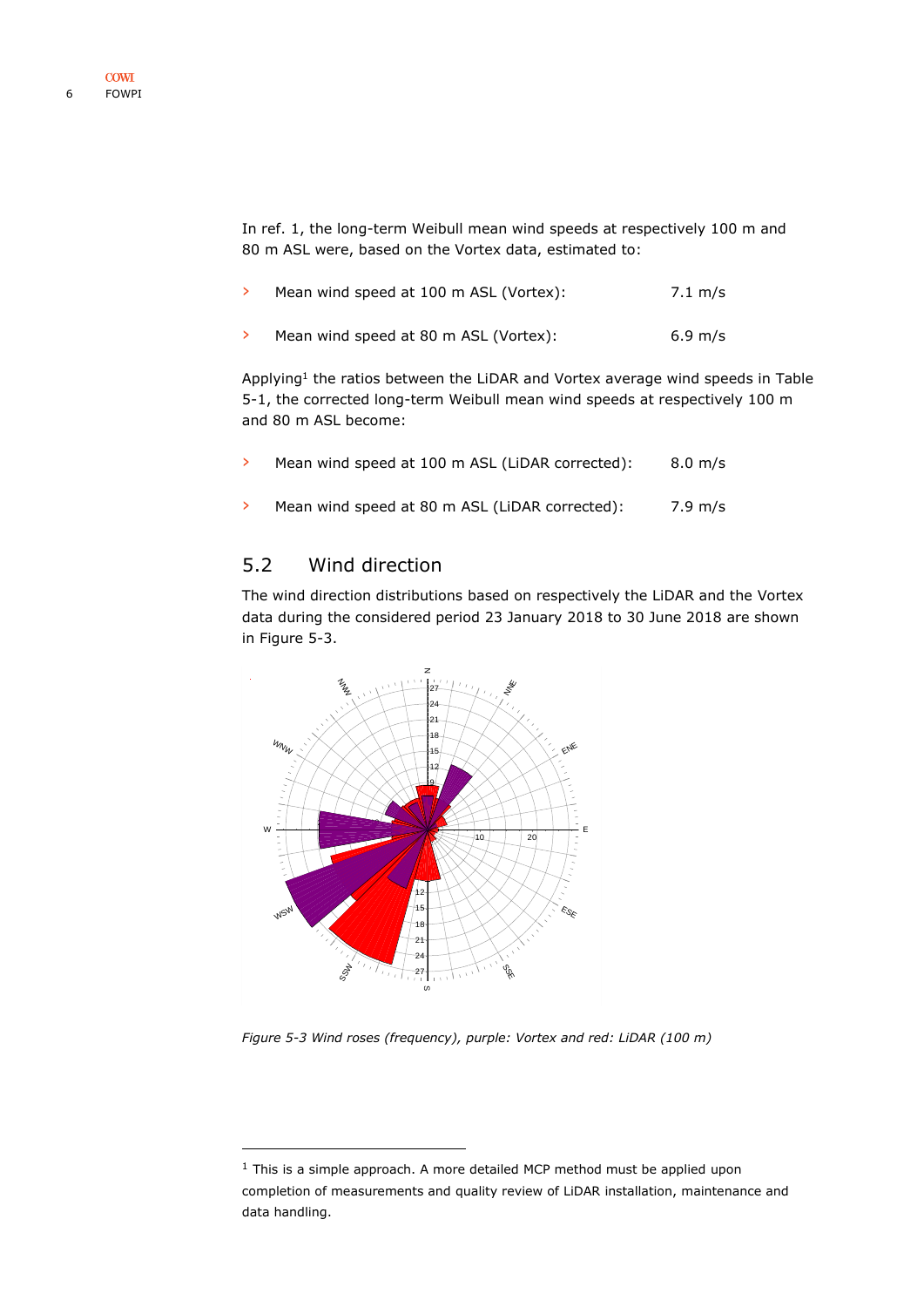In ref. [1,](#page-6-1) the long-term Weibull mean wind speeds at respectively 100 m and 80 m ASL were, based on the Vortex data, estimated to:

| Mean wind speed at 100 m ASL (Vortex): | 7.1 m/s           |
|----------------------------------------|-------------------|
| Mean wind speed at 80 m ASL (Vortex):  | $6.9 \text{ m/s}$ |

Applying<sup>1</sup> the ratios between the LiDAR and Vortex average wind speeds in Table [5-1,](#page-4-1) the corrected long-term Weibull mean wind speeds at respectively 100 m and 80 m ASL become:

| Mean wind speed at 100 m ASL (LiDAR corrected): | $8.0 \text{ m/s}$ |
|-------------------------------------------------|-------------------|
| Mean wind speed at 80 m ASL (LiDAR corrected):  | 7.9 m/s           |

# <span id="page-5-0"></span>5.2 Wind direction

-

The wind direction distributions based on respectively the LiDAR and the Vortex data during the considered period 23 January 2018 to 30 June 2018 are shown in [Figure 5-3.](#page-5-1)



<span id="page-5-1"></span>*Figure 5-3 Wind roses (frequency), purple: Vortex and red: LiDAR (100 m)*

 $1$  This is a simple approach. A more detailed MCP method must be applied upon completion of measurements and quality review of LiDAR installation, maintenance and data handling.